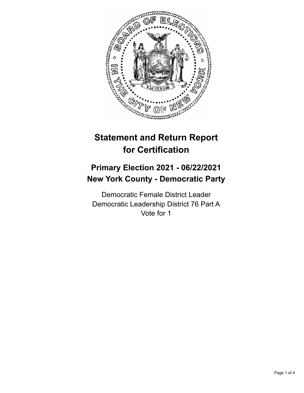

# **Statement and Return Report for Certification**

## **Primary Election 2021 - 06/22/2021 New York County - Democratic Party**

Democratic Female District Leader Democratic Leadership District 76 Part A Vote for 1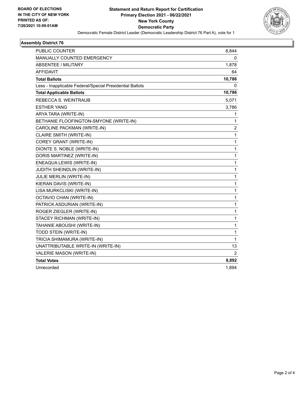

#### **Assembly District 76**

| <b>PUBLIC COUNTER</b>                                    | 8,844        |
|----------------------------------------------------------|--------------|
| <b>MANUALLY COUNTED EMERGENCY</b>                        | 0            |
| <b>ABSENTEE / MILITARY</b>                               | 1,878        |
| <b>AFFIDAVIT</b>                                         | 64           |
| <b>Total Ballots</b>                                     | 10,786       |
| Less - Inapplicable Federal/Special Presidential Ballots | 0            |
| <b>Total Applicable Ballots</b>                          | 10,786       |
| REBECCA S. WEINTRAUB                                     | 5,071        |
| ESTHER YANG                                              | 3,786        |
| ARYA TARA (WRITE-IN)                                     | 1            |
| BETHANIE FLOOFINGTON-SMYONE (WRITE-IN)                   | 1            |
| CAROLINE PACKMAN (WRITE-IN)                              | 2            |
| CLAIRE SMITH (WRITE-IN)                                  | 1            |
| COREY GRANT (WRITE-IN)                                   | 1            |
| DIONTE S. NOBLE (WRITE-IN)                               | 1            |
| DORIS MARTINEZ (WRITE-IN)                                | 1            |
| ENEAQUA LEWIS (WRITE-IN)                                 | 1            |
| <b>JUDITH SHEINDLIN (WRITE-IN)</b>                       | 1            |
| JULIE MERLIN (WRITE-IN)                                  | 1            |
| KIERAN DAVIS (WRITE-IN)                                  | 1            |
| LISA MURKCLISKI (WRITE-IN)                               | 1            |
| OCTAVIO CHAN (WRITE-IN)                                  | 1            |
| PATRICK ASDURIAN (WRITE-IN)                              | 1            |
| ROGER ZIEGLER (WRITE-IN)                                 | 1            |
| STACEY RICHMAN (WRITE-IN)                                | 1            |
| TAHANIE ABOUSHI (WRITE-IN)                               | 1            |
| TODD STEIN (WRITE-IN)                                    | 1            |
| TRICIA SHIMAMURA (WRITE-IN)                              | $\mathbf{1}$ |
| UNATTRIBUTABLE WRITE-IN (WRITE-IN)                       | 13           |
| VALERIE MASON (WRITE-IN)                                 | 2            |
| <b>Total Votes</b>                                       | 8,892        |
| Unrecorded                                               | 1,894        |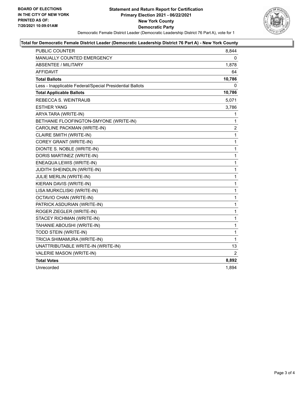

#### **Total for Democratic Female District Leader (Democratic Leadership District 76 Part A) - New York County**

| <b>PUBLIC COUNTER</b>                                    | 8,844          |
|----------------------------------------------------------|----------------|
| MANUALLY COUNTED EMERGENCY                               | 0              |
| <b>ABSENTEE / MILITARY</b>                               | 1,878          |
| <b>AFFIDAVIT</b>                                         | 64             |
| <b>Total Ballots</b>                                     | 10,786         |
| Less - Inapplicable Federal/Special Presidential Ballots | 0              |
| <b>Total Applicable Ballots</b>                          | 10,786         |
| REBECCA S. WEINTRAUB                                     | 5,071          |
| <b>ESTHER YANG</b>                                       | 3,786          |
| ARYA TARA (WRITE-IN)                                     | 1              |
| BETHANIE FLOOFINGTON-SMYONE (WRITE-IN)                   | 1              |
| CAROLINE PACKMAN (WRITE-IN)                              | $\overline{c}$ |
| CLAIRE SMITH (WRITE-IN)                                  | 1              |
| COREY GRANT (WRITE-IN)                                   | $\mathbf 1$    |
| DIONTE S. NOBLE (WRITE-IN)                               | 1              |
| DORIS MARTINEZ (WRITE-IN)                                | 1              |
| ENEAQUA LEWIS (WRITE-IN)                                 | $\mathbf{1}$   |
| <b>JUDITH SHEINDLIN (WRITE-IN)</b>                       | $\mathbf{1}$   |
| JULIE MERLIN (WRITE-IN)                                  | 1              |
| KIERAN DAVIS (WRITE-IN)                                  | $\mathbf 1$    |
| LISA MURKCLISKI (WRITE-IN)                               | $\mathbf 1$    |
| OCTAVIO CHAN (WRITE-IN)                                  | 1              |
| PATRICK ASDURIAN (WRITE-IN)                              | $\mathbf{1}$   |
| ROGER ZIEGLER (WRITE-IN)                                 | 1              |
| STACEY RICHMAN (WRITE-IN)                                | $\mathbf{1}$   |
| TAHANIE ABOUSHI (WRITE-IN)                               | $\mathbf 1$    |
| TODD STEIN (WRITE-IN)                                    | 1              |
| TRICIA SHIMAMURA (WRITE-IN)                              | $\mathbf{1}$   |
| UNATTRIBUTABLE WRITE-IN (WRITE-IN)                       | 13             |
| VALERIE MASON (WRITE-IN)                                 | 2              |
| <b>Total Votes</b>                                       | 8,892          |
| Unrecorded                                               | 1,894          |